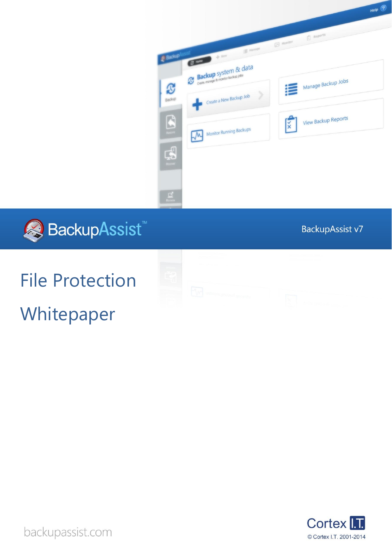



BackupAssist v7

# File Protection



Whitepaper



backupassist.com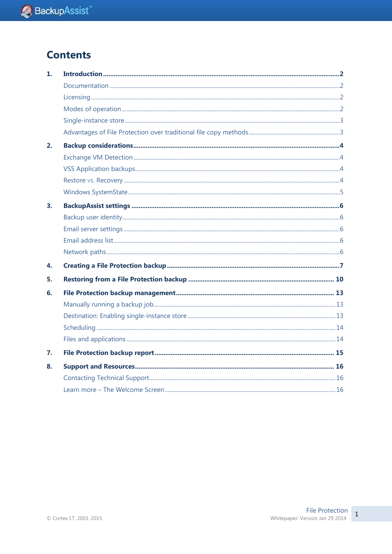## **Contents**

| 1. |  |
|----|--|
|    |  |
|    |  |
|    |  |
|    |  |
|    |  |
| 2. |  |
|    |  |
|    |  |
|    |  |
|    |  |
| 3. |  |
|    |  |
|    |  |
|    |  |
|    |  |
| 4. |  |
| 5. |  |
| 6. |  |
|    |  |
|    |  |
|    |  |
|    |  |
| 7. |  |
| 8. |  |
|    |  |
|    |  |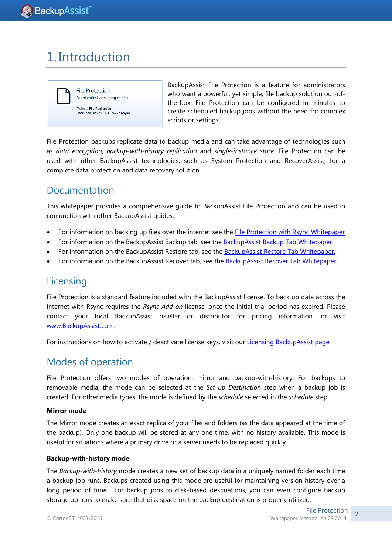# 1. Introduction



BackupAssist File Protection is a feature for administrators who want a powerful, yet simple, file backup solution out-ofthe-box. File Protection can be configured in minutes to create scheduled backup jobs without the need for complex scripts or settings.

File Protection backups replicate data to backup media and can take advantage of technologies such as *data encryption*, *backup-with-history replication* and *single-instance store*. File Protection can be used with other BackupAssist technologies, such as System Protection and RecoverAssist, for a complete data protection and data recovery solution.

## Documentation

This whitepaper provides a comprehensive guide to BackupAssist File Protection and can be used in conjunction with other BackupAssist guides.

- For information on backing up files over the internet see the [File Protection with Rsync](http://www.backupassist.com/education/whitepapers/rsync_file_protection_whitepaper.html) Whitepaper
- For information on the BackupAssist Backup tab, see the [BackupAssist Backup Tab Whitepaper.](http://www.backupassist.com/education/whitepapers/backup_whitepaper.html)
- For information on the BackupAssist Restore tab, see the [BackupAssist Restore Tab Whitepaper.](http://www.backupassist.com/education/whitepapers/restore_whitepaper.html)
- For information on the BackupAssist Recover tab, see the [BackupAssist Recover Tab Whitepaper.](http://www.backupassist.com/education/whitepapers/recover_whitepaper.html)

#### Licensing

File Protection is a standard feature included with the BackupAssist license. To back up data across the internet with Rsync requires the *Rsync Add-on* license, once the initial trial period has expired. Please contact your local BackupAssist reseller or distributor for pricing information, or visit [www.BackupAssist.com.](http://www.backupassist.com/)

For instructions on how to activate / deactivate license keys, visit our [Licensing BackupAssist page.](http://www.backupassist.com/education/whitepapers/licensing_backupassist.html)

## Modes of operation

File Protection offers two modes of operation: mirror and backup-with-history. For backups to removable media, the mode can be selected at the *Set up Destination* step when a backup job is created. For other media types, the mode is defined by the *schedule* selected in the *schedule* step.

#### **Mirror mode**

The Mirror mode creates an exact replica of your files and folders (as the data appeared at the time of the backup). Only one backup will be stored at any one time, with no history available. This mode is useful for situations where a primary drive or a server needs to be replaced quickly.

#### **Backup-with-history mode**

The *Backup-with-history* mode creates a new set of backup data in a uniquely named folder each time a backup job runs. Backups created using this mode are useful for maintaining version history over a long period of time. For backup jobs to disk-based destinations, you can even configure backup storage options to make sure that disk space on the backup destination is properly utilized.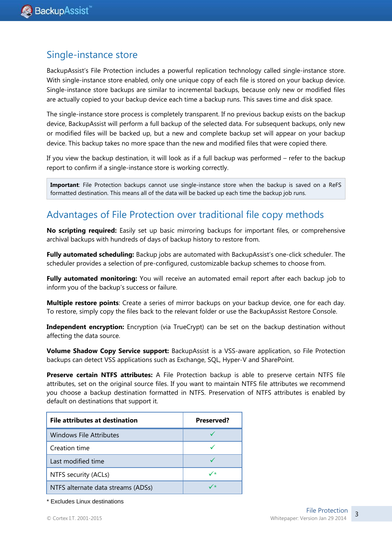#### Single-instance store

BackupAssist's File Protection includes a powerful replication technology called single-instance store. With single-instance store enabled, only one unique copy of each file is stored on your backup device. Single-instance store backups are similar to incremental backups, because only new or modified files are actually copied to your backup device each time a backup runs. This saves time and disk space.

The single-instance store process is completely transparent. If no previous backup exists on the backup device, BackupAssist will perform a full backup of the selected data. For subsequent backups, only new or modified files will be backed up, but a new and complete backup set will appear on your backup device. This backup takes no more space than the new and modified files that were copied there.

If you view the backup destination, it will look as if a full backup was performed – refer to the backup report to confirm if a single-instance store is working correctly.

**Important**: File Protection backups cannot use single-instance store when the backup is saved on a ReFS formatted destination. This means all of the data will be backed up each time the backup job runs.

## <span id="page-3-0"></span>Advantages of File Protection over traditional file copy methods

**No scripting required:** Easily set up basic mirroring backups for important files, or comprehensive archival backups with hundreds of days of backup history to restore from.

**Fully automated scheduling:** Backup jobs are automated with BackupAssist's one-click scheduler. The scheduler provides a selection of pre-configured, customizable backup schemes to choose from.

**Fully automated monitoring:** You will receive an automated email report after each backup job to inform you of the backup's success or failure.

**Multiple restore points**: Create a series of mirror backups on your backup device, one for each day. To restore, simply copy the files back to the relevant folder or use the BackupAssist Restore Console.

**Independent encryption:** Encryption (via TrueCrypt) can be set on the backup destination without affecting the data source.

**Volume Shadow Copy Service support:** BackupAssist is a VSS-aware application, so File Protection backups can detect VSS applications such as Exchange, SQL, Hyper-V and SharePoint.

**Preserve certain NTFS attributes:** A File Protection backup is able to preserve certain NTFS file attributes, set on the original source files. If you want to maintain NTFS file attributes we recommend you choose a backup destination formatted in NTFS. Preservation of NTFS attributes is enabled by default on destinations that support it.

| File attributes at destination     | Preserved? |  |  |
|------------------------------------|------------|--|--|
| Windows File Attributes            |            |  |  |
| Creation time                      |            |  |  |
| Last modified time                 |            |  |  |
| NTFS security (ACLs)               | ✓∗         |  |  |
| NTFS alternate data streams (ADSs) |            |  |  |

\* Excludes Linux destinations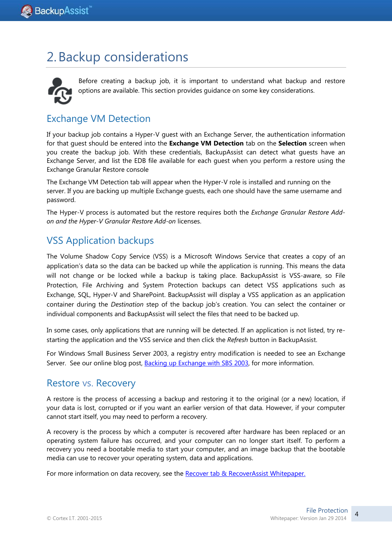# 2.Backup considerations



Before creating a backup job, it is important to understand what backup and restore options are available. This section provides guidance on some key considerations.

## <span id="page-4-0"></span>Exchange VM Detection

If your backup job contains a Hyper-V guest with an Exchange Server, the authentication information for that guest should be entered into the **Exchange VM Detection** tab on the **Selection** screen when you create the backup job. With these credentials, BackupAssist can detect what guests have an Exchange Server, and list the EDB file available for each guest when you perform a restore using the Exchange Granular Restore console

The Exchange VM Detection tab will appear when the Hyper-V role is installed and running on the server. If you are backing up multiple Exchange guests, each one should have the same username and password.

The Hyper-V process is automated but the restore requires both the *Exchange Granular Restore Addon and the Hyper-V Granular Restore Add-on* licenses.

## VSS Application backups

The Volume Shadow Copy Service (VSS) is a Microsoft Windows Service that creates a copy of an application's data so the data can be backed up while the application is running. This means the data will not change or be locked while a backup is taking place. BackupAssist is VSS-aware, so File Protection, File Archiving and System Protection backups can detect VSS applications such as Exchange, SQL, Hyper-V and SharePoint. BackupAssist will display a VSS application as an application container during the *Destination* step of the backup job's creation. You can select the container or individual components and BackupAssist will select the files that need to be backed up.

In some cases, only applications that are running will be detected. If an application is not listed, try restarting the application and the VSS service and then click the *Refresh* button in BackupAssist.

For Windows Small Business Server 2003, a registry entry modification is needed to see an Exchange Server. See our online blog post, **Backing up Exchange with SBS 2003**, for more information.

## Restore vs. Recovery

A restore is the process of accessing a backup and restoring it to the original (or a new) location, if your data is lost, corrupted or if you want an earlier version of that data. However, if your computer cannot start itself, you may need to perform a recovery.

A recovery is the process by which a computer is recovered after hardware has been replaced or an operating system failure has occurred, and your computer can no longer start itself. To perform a recovery you need a bootable media to start your computer, and an image backup that the bootable media can use to recover your operating system, data and applications.

For more information on data recovery, see the [Recover tab & RecoverAssist Whitepaper.](http://www.backupassist.com/education/whitepapers/recover_whitepaper.html)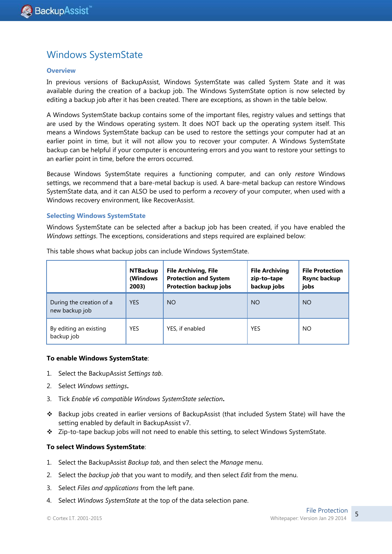## Windows SystemState

#### **Overview**

In previous versions of BackupAssist, Windows SystemState was called System State and it was available during the creation of a backup job. The Windows SystemState option is now selected by editing a backup job after it has been created. There are exceptions, as shown in the table below.

A Windows SystemState backup contains some of the important files, registry values and settings that are used by the Windows operating system. It does NOT back up the operating system itself. This means a Windows SystemState backup can be used to restore the settings your computer had at an earlier point in time, but it will not allow you to recover your computer. A Windows SystemState backup can be helpful if your computer is encountering errors and you want to restore your settings to an earlier point in time, before the errors occurred.

Because Windows SystemState requires a functioning computer, and can only *restore* Windows settings, we recommend that a bare-metal backup is used. A bare-metal backup can restore Windows SystemState data, and it can ALSO be used to perform a *recovery* of your computer, when used with a Windows recovery environment, like RecoverAssist.

#### **Selecting Windows SystemState**

Windows SystemState can be selected after a backup job has been created, if you have enabled the *Windows settings*. The exceptions, considerations and steps required are explained below:

|                                            | <b>NTBackup</b><br>(Windows<br>2003) | <b>File Archiving, File</b><br><b>Protection and System</b><br><b>Protection backup jobs</b> | <b>File Archiving</b><br>zip-to-tape<br>backup jobs | <b>File Protection</b><br><b>Rsync backup</b><br>jobs |
|--------------------------------------------|--------------------------------------|----------------------------------------------------------------------------------------------|-----------------------------------------------------|-------------------------------------------------------|
| During the creation of a<br>new backup job | <b>YES</b>                           | <b>NO</b>                                                                                    | NO                                                  | NO                                                    |
| By editing an existing<br>backup job       | <b>YES</b>                           | YES, if enabled                                                                              | <b>YES</b>                                          | NO                                                    |

This table shows what backup jobs can include Windows SystemState.

#### **To enable Windows SystemState**:

- 1. Select the BackupAssist *Settings tab*.
- 2. Select *Windows settings***.**
- 3. Tick *Enable v6 compatible Windows SystemState selection***.**
- Backup jobs created in earlier versions of BackupAssist (that included System State) will have the setting enabled by default in BackupAssist v7.
- Zip-to-tape backup jobs will not need to enable this setting, to select Windows SystemState.

#### **To select Windows SystemState**:

- 1. Select the BackupAssist *Backup tab*, and then select the *Manage* menu.
- 2. Select the *backup job* that you want to modify, and then select *Edit* from the menu.
- 3. Select *Files and applications* from the left pane.
- 4. Select *Windows SystemState* at the top of the data selection pane.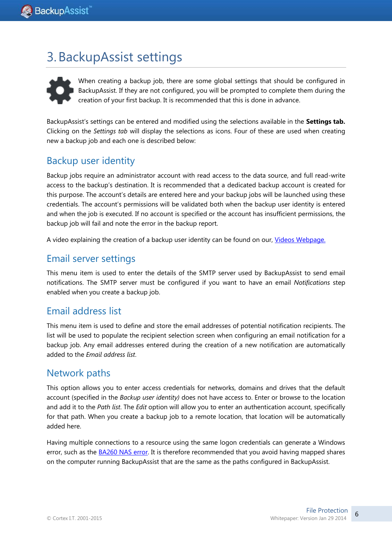# <span id="page-6-1"></span>3.BackupAssist settings



When creating a backup job, there are some global settings that should be configured in BackupAssist. If they are not configured, you will be prompted to complete them during the creation of your first backup. It is recommended that this is done in advance.

<span id="page-6-0"></span>BackupAssist's settings can be entered and modified using the selections available in the **Settings tab.**  Clicking on the *Settings tab* will display the selections as icons. Four of these are used when creating new a backup job and each one is described below:

## Backup user identity

Backup jobs require an administrator account with read access to the data source, and full read-write access to the backup's destination. It is recommended that a dedicated backup account is created for this purpose. The account's details are entered here and your backup jobs will be launched using these credentials. The account's permissions will be validated both when the backup user identity is entered and when the job is executed. If no account is specified or the account has insufficient permissions, the backup job will fail and note the error in the backup report.

A video explaining the creation of a backup user identity can be found on our, [Videos Webpage.](http://www.backupassist.com/education/videos.html)

#### Email server settings

This menu item is used to enter the details of the SMTP server used by BackupAssist to send email notifications. The SMTP server must be configured if you want to have an email *Notifications* step enabled when you create a backup job.

## Email address list

This menu item is used to define and store the email addresses of potential notification recipients. The list will be used to populate the recipient selection screen when configuring an email notification for a backup job. Any email addresses entered during the creation of a new notification are automatically added to the *Email address list*.

#### Network paths

This option allows you to enter access credentials for networks, domains and drives that the default account (specified in the *Backup user identity)* does not have access to. Enter or browse to the location and add it to the *Path list*. The *Edit* option will allow you to enter an authentication account, specifically for that path. When you create a backup job to a remote location, that location will be automatically added here.

Having multiple connections to a resource using the same logon credentials can generate a Windows error, such as the [BA260 NAS error.](http://kb.backupassist.com/articles.php?aid=2696) It is therefore recommended that you avoid having mapped shares on the computer running BackupAssist that are the same as the paths configured in BackupAssist.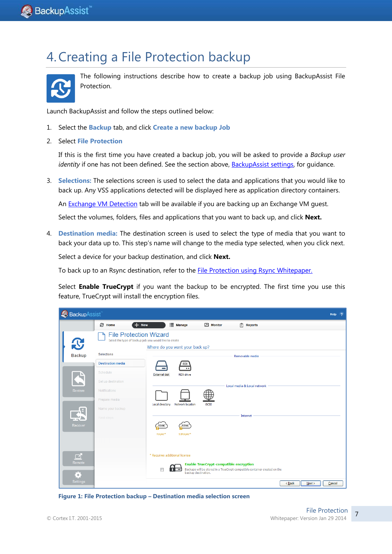# 4.Creating a File Protection backup



The following instructions describe how to create a backup job using BackupAssist File Protection.

Launch BackupAssist and follow the steps outlined below:

- 1. Select the **Backup** tab, and click **Create a new backup Job**
- 2. Select **File Protection**

If this is the first time you have created a backup job, you will be asked to provide a *Backup user identity* if one has not been defined. See the section above[, BackupAssist settings,](#page-6-0) for guidance.

3. **Selections:** The selections screen is used to select the data and applications that you would like to back up. Any VSS applications detected will be displayed here as application directory containers.

An [Exchange VM Detection](#page-4-0) tab will be available if you are backing up an Exchange VM guest.

Select the volumes, folders, files and applications that you want to back up, and click **Next.**

4. **Destination media:** The destination screen is used to select the type of media that you want to back your data up to. This step's name will change to the media type selected, when you click next.

Select a device for your backup destination, and click **Next.**

To back up to an Rsync destination, refer to the **File Protection using Rsync Whitepaper.** 

Select **Enable TrueCrypt** if you want the backup to be encrypted. The first time you use this feature, TrueCrypt will install the encryption files.

| BackupAssist   |                               |                                                                                           |                                               |                                                                           | $\overline{2}$<br>Help     |
|----------------|-------------------------------|-------------------------------------------------------------------------------------------|-----------------------------------------------|---------------------------------------------------------------------------|----------------------------|
|                | <b>&amp; Home</b>             | <b>E</b> Manage<br>$+$ New                                                                | Monitor                                       | $\left \vec{x}\right $ Reports                                            |                            |
| $\mathbf{C}$   | <b>File Protection Wizard</b> | Select the type of backup job you would like to create<br>Where do you want your back up? |                                               |                                                                           |                            |
| <b>Backup</b>  | Selections                    |                                                                                           |                                               | Removable media                                                           |                            |
|                | <b>Destination media</b>      | <b>RDX</b>                                                                                |                                               |                                                                           |                            |
|                | Schedule                      | $^{\circ}$<br><b>External disk</b><br><b>RDX</b> drive                                    |                                               |                                                                           |                            |
|                | Set up destination            |                                                                                           |                                               | Local media & Local network                                               |                            |
| Restore        | <b>Notifications</b>          |                                                                                           |                                               |                                                                           |                            |
|                | Prepare media                 | Network location<br>Local directory                                                       | <b>iSCSI</b>                                  |                                                                           |                            |
| $\mathbb{R}^3$ | Name your backup              |                                                                                           |                                               |                                                                           |                            |
|                | Next steps                    |                                                                                           |                                               | Internet                                                                  |                            |
| Recover        |                               | RSYNO<br>RSYNC                                                                            |                                               |                                                                           |                            |
|                |                               | S3Rsync*<br>Rsync*                                                                        |                                               |                                                                           |                            |
|                |                               |                                                                                           |                                               |                                                                           |                            |
| $\Box$         |                               | * Requires additional license                                                             |                                               |                                                                           |                            |
| Remote         |                               |                                                                                           | <b>Enable TrueCrypt-compatible encryption</b> |                                                                           |                            |
| ä              |                               | П<br>$\cdot$ $\cdot$ $\cdot$                                                              | backup destination.                           | Backups will be stored in a TrueCrypt-compatible container created on the |                            |
| Settings       |                               |                                                                                           |                                               |                                                                           | $<$ Back<br>Next<br>Cancel |

**Figure 1: File Protection backup – Destination media selection screen**

7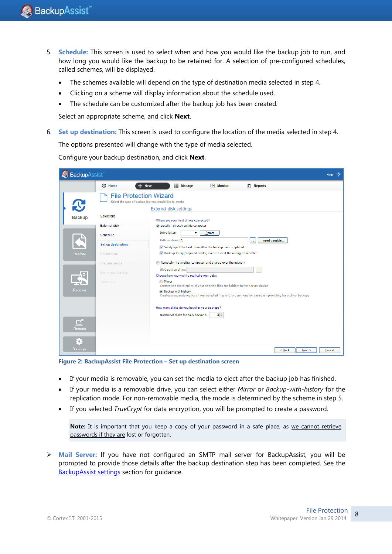- 5. **Schedule:** This screen is used to select when and how you would like the backup job to run, and how long you would like the backup to be retained for. A selection of pre-configured schedules, called schemes, will be displayed.
	- The schemes available will depend on the type of destination media selected in step 4.
	- Clicking on a scheme will display information about the schedule used.
	- The schedule can be customized after the backup job has been created.

Select an appropriate scheme, and click **Next**.

6. **Set up destination:** This screen is used to configure the location of the media selected in step 4.

The options presented will change with the type of media selected.

Configure your backup destination, and click **Next**.

| BackupAssist    |                                                                                        |                                                                                                                   |                                                                                                   |                                                                                   |                                                                                                                   | <b>Help</b><br>2 |  |  |  |
|-----------------|----------------------------------------------------------------------------------------|-------------------------------------------------------------------------------------------------------------------|---------------------------------------------------------------------------------------------------|-----------------------------------------------------------------------------------|-------------------------------------------------------------------------------------------------------------------|------------------|--|--|--|
|                 | <b>C</b> Home                                                                          | <b>New</b>                                                                                                        | <b>E</b> Manage                                                                                   | $M$ Monitor                                                                       | $ \vec{x} $ Reports                                                                                               |                  |  |  |  |
| $\mathbf{C}$    |                                                                                        | <b>File Protection Wizard</b><br>Select the type of backup job you would like to create<br>External disk settings |                                                                                                   |                                                                                   |                                                                                                                   |                  |  |  |  |
| <b>Backup</b>   | Selections                                                                             |                                                                                                                   | Where are your hard drives connected?                                                             |                                                                                   |                                                                                                                   |                  |  |  |  |
|                 | <b>External disk</b>                                                                   |                                                                                                                   | locally - directly to this computer                                                               |                                                                                   |                                                                                                                   |                  |  |  |  |
|                 | Schedule                                                                               | Drive letter:                                                                                                     | ۰                                                                                                 | Detect                                                                            |                                                                                                                   |                  |  |  |  |
|                 | Set up destination                                                                     |                                                                                                                   | Path on drive: \<br>Insert variable<br>Safely eject the hard drive after the backup has completed |                                                                                   |                                                                                                                   |                  |  |  |  |
| Restore         | Back up to my prepared media, even if it is at the wrong drive letter<br>Notifications |                                                                                                                   |                                                                                                   |                                                                                   |                                                                                                                   |                  |  |  |  |
|                 | Prepare media                                                                          |                                                                                                                   |                                                                                                   | Remotely - to another computer, and shared over the network                       |                                                                                                                   |                  |  |  |  |
|                 | Name your backup                                                                       | UNC path to drive:                                                                                                | Choose how you wish to replicate your data:                                                       |                                                                                   | m.                                                                                                                |                  |  |  |  |
|                 | Next steps                                                                             | <b>Mirror</b>                                                                                                     |                                                                                                   | Creates one exact replica of your selected files and folders to the backup device |                                                                                                                   |                  |  |  |  |
| Recover         |                                                                                        | Sackup with history                                                                                               |                                                                                                   |                                                                                   | Creates a separate replica of your selected files and folders - one for each day - providing for archival backups |                  |  |  |  |
|                 |                                                                                        |                                                                                                                   | How many disks do you have for your backups?                                                      |                                                                                   |                                                                                                                   |                  |  |  |  |
|                 |                                                                                        |                                                                                                                   | Number of disks for daily backups:                                                                | $2\frac{4}{7}$                                                                    |                                                                                                                   |                  |  |  |  |
| Remote          |                                                                                        |                                                                                                                   |                                                                                                   |                                                                                   |                                                                                                                   |                  |  |  |  |
| o               |                                                                                        |                                                                                                                   |                                                                                                   |                                                                                   |                                                                                                                   |                  |  |  |  |
| <b>Settings</b> |                                                                                        |                                                                                                                   |                                                                                                   |                                                                                   | $Back$<br>Next                                                                                                    | Cancel           |  |  |  |

**Figure 2: BackupAssist File Protection – Set up destination screen**

- If your media is removable, you can set the media to eject after the backup job has finished.
- If your media is a removable drive, you can select either *Mirror* or *Backup-with-history* for the replication mode. For non-removable media, the mode is determined by the scheme in step 5.
- If you selected *TrueCrypt* for data encryption, you will be prompted to create a password.

Note: It is important that you keep a copy of your password in a safe place, as we cannot retrieve passwords if they are lost or forgotten.

 **Mail Server:** If you have not configured an SMTP mail server for BackupAssist, you will be prompted to provide those details after the backup destination step has been completed. See the [BackupAssist settings](#page-6-1) section for guidance.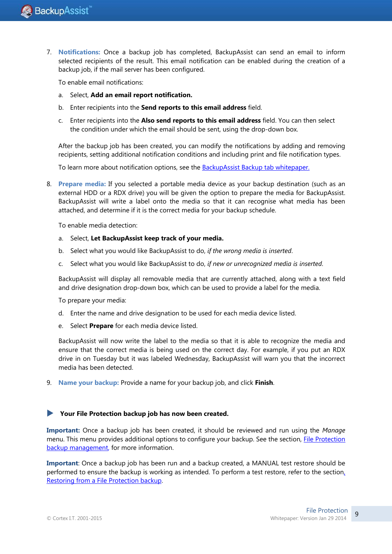7. **Notifications:** Once a backup job has completed, BackupAssist can send an email to inform selected recipients of the result. This email notification can be enabled during the creation of a backup job, if the mail server has been configured.

To enable email notifications:

- a. Select, **Add an email report notification.**
- b. Enter recipients into the **Send reports to this email address** field.
- c. Enter recipients into the **Also send reports to this email address** field. You can then select the condition under which the email should be sent, using the drop-down box.

After the backup job has been created, you can modify the notifications by adding and removing recipients, setting additional notification conditions and including print and file notification types.

To learn more about notification options, see the **BackupAssist Backup tab whitepaper.** 

8. **Prepare media:** If you selected a portable media device as your backup destination (such as an external HDD or a RDX drive) you will be given the option to prepare the media for BackupAssist. BackupAssist will write a label onto the media so that it can recognise what media has been attached, and determine if it is the correct media for your backup schedule.

To enable media detection:

- a. Select, **Let BackupAssist keep track of your media.**
- b. Select what you would like BackupAssist to do, *if the wrong media is inserted*.
- c. Select what you would like BackupAssist to do, *if new or unrecognized media is inserted*.

BackupAssist will display all removable media that are currently attached, along with a text field and drive designation drop-down box, which can be used to provide a label for the media.

To prepare your media:

- d. Enter the name and drive designation to be used for each media device listed.
- e. Select **Prepare** for each media device listed.

BackupAssist will now write the label to the media so that it is able to recognize the media and ensure that the correct media is being used on the correct day. For example, if you put an RDX drive in on Tuesday but it was labeled Wednesday, BackupAssist will warn you that the incorrect media has been detected.

9. **Name your backup:** Provide a name for your backup job, and click **Finish**.

#### **Your File Protection backup job has now been created.**

**Important:** Once a backup job has been created, it should be reviewed and run using the *Manage* menu. This menu provides additional options to configure your backup. See the section, [File Protection](#page-13-0)  backup [management,](#page-13-0) for more information.

**Important**: Once a backup job has been run and a backup created, a MANUAL test restore should be performed to ensure the backup is working as intended. To perform a test restore, refer to the sectio[n,](#page-10-0)  Restoring from a [File Protection backup.](#page-10-0)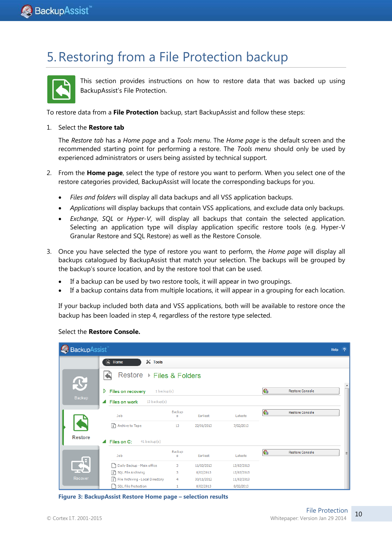# <span id="page-10-0"></span>5.Restoring from a File Protection backup



This section provides instructions on how to restore data that was backed up using BackupAssist's File Protection.

To restore data from a **File Protection** backup, start BackupAssist and follow these steps:

#### 1. Select the **Restore tab**

The *Restore tab* has a *Home page* and a *Tools menu*. The *Home page* is the default screen and the recommended starting point for performing a restore. The *Tools menu* should only be used by experienced administrators or users being assisted by technical support.

- 2. From the **Home page**, select the type of restore you want to perform. When you select one of the restore categories provided, BackupAssist will locate the corresponding backups for you.
	- *Files and folders* will display all data backups and all VSS application backups.
	- *Applications* will display backups that contain VSS applications, and exclude data only backups.
	- *Exchange*, *SQL* or *Hyper-V*, will display all backups that contain the selected application. Selecting an application type will display application specific restore tools (e.g. Hyper-V Granular Restore and SQL Restore) as well as the Restore Console.
- 3. Once you have selected the type of restore you want to perform, the *Home page* will display all backups catalogued by BackupAssist that match your selection. The backups will be grouped by the backup's source location, and by the restore tool that can be used.
	- If a backup can be used by two restore tools, it will appear in two groupings.
	- If a backup contains data from multiple locations, it will appear in a grouping for each location.

If your backup included both data and VSS applications, both will be available to restore once the backup has been loaded in step 4, regardless of the restore type selected.

|  | Select the Restore Console. |
|--|-----------------------------|
|--|-----------------------------|

| BackupAssist               |                                              |             |            |            |   |                        | Help <sub>2</sub> |                  |  |
|----------------------------|----------------------------------------------|-------------|------------|------------|---|------------------------|-------------------|------------------|--|
|                            | $\mathbb{X}$ Tools<br>$\blacksquare$<br>Home |             |            |            |   |                        |                   |                  |  |
| $\boldsymbol{\mathcal{X}}$ | Restore ▶ Files & Folders                    |             |            |            |   |                        |                   |                  |  |
|                            | D<br><b>Files on recovery</b><br>1 backup(s) |             |            |            | G | <b>Restore Console</b> |                   | $\blacktriangle$ |  |
| Backup                     | <b>Files on work</b><br>13 backup(s)<br>◢    |             |            |            |   |                        |                   |                  |  |
|                            | Job                                          | Backup<br>s | Earliest   | Latests    | G | <b>Restore Console</b> |                   |                  |  |
|                            | 图 Archive to Tape                            | 13          | 22/01/2013 | 7/02/2013  |   |                        |                   |                  |  |
| <b>Restore</b>             | Files on C:<br>◢<br>41 backup(s)             |             |            |            |   |                        |                   |                  |  |
|                            | Job                                          | Backup<br>s | Earliest   | Latests    | G | <b>Restore Console</b> |                   | Ξ                |  |
|                            | Daily Backup - Main office<br>۹              | 3           | 11/02/2013 | 13/02/2013 |   |                        |                   |                  |  |
|                            | SQL File Archiving                           | 3           | 8/02/2013  | 12/02/2013 |   |                        |                   |                  |  |
| Recover                    | File Archiving - Local Directory             | 4           | 30/11/2012 | 11/02/2013 |   |                        |                   |                  |  |
|                            | <b>SQL File Protection</b>                   | 1           | 8/02/2013  | 8/02/2013  |   |                        |                   |                  |  |

**Figure 3: BackupAssist Restore Home page – selection results**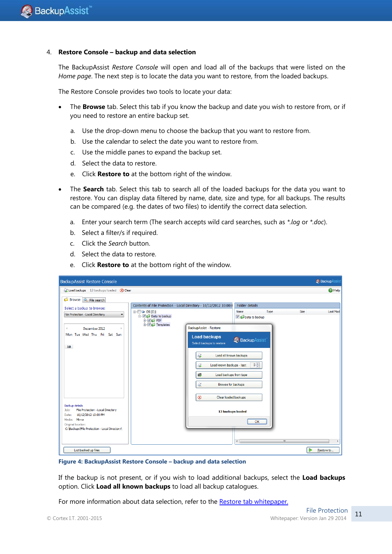#### 4. **Restore Console – backup and data selection**

The BackupAssist *Restore Console* will open and load all of the backups that were listed on the *Home page*. The next step is to locate the data you want to restore, from the loaded backups.

The Restore Console provides two tools to locate your data:

- The **Browse** tab. Select this tab if you know the backup and date you wish to restore from, or if you need to restore an entire backup set.
	- a. Use the drop-down menu to choose the backup that you want to restore from.
	- b. Use the calendar to select the date you want to restore from.
	- c. Use the middle panes to expand the backup set.
	- d. Select the data to restore.
	- e. Click **Restore to** at the bottom right of the window.
- The **Search** tab. Select this tab to search all of the loaded backups for the data you want to restore. You can display data filtered by name, date, size and type, for all backups. The results can be compared (e.g. the dates of two files) to identify the correct data selection.
	- a. Enter your search term (The search accepts wild card searches, such as *\*.log* or *\*.doc*).
	- b. Select a filter/s if required.
	- c. Click the *Search* button.
	- d. Select the data to restore.
	- e. Click **Restore to** at the bottom right of the window.

| <b>BackupAssist Restore Console</b>                                |                                                                    |                                  |                        |                     | <b>Backup</b> Assist |
|--------------------------------------------------------------------|--------------------------------------------------------------------|----------------------------------|------------------------|---------------------|----------------------|
| Coad backups 13 backups loaded (X) Clear                           |                                                                    |                                  |                        |                     | <sup>2</sup> Help    |
| <b>Browse</b><br><b>R</b> File search                              |                                                                    |                                  |                        |                     |                      |
| Select a backup to browse:                                         | Contents of File Protection - Local Directory - 10/12/2012 10:00:( |                                  | Folder details         |                     |                      |
| File Protection - Local Directory<br>۰                             | $\Box$ OS (C:)<br>Data to backup                                   |                                  | Name<br>Data to backup | Type<br><b>Size</b> | Last Mod             |
|                                                                    | <b>EVILLE</b> PDF<br>$\overline{+}\overline{\mathbf{V}}$ Templates |                                  |                        |                     |                      |
| December 2012<br>$\triangleleft$                                   |                                                                    | BackupAssist - Restore           |                        |                     |                      |
| Mon Tue Wed Thu Fri Sat Sun                                        |                                                                    | <b>Load backups</b>              | BackupAssist           |                     |                      |
| 10 <sup>10</sup>                                                   |                                                                    | Select backups to restore        |                        |                     |                      |
|                                                                    |                                                                    | Load all known backups<br>Sé     |                        |                     |                      |
|                                                                    |                                                                    | G<br>Load known backups - last:  | $5\frac{1}{x}$         |                     |                      |
|                                                                    |                                                                    |                                  |                        |                     |                      |
|                                                                    |                                                                    | Load backups from tape<br>區      |                        |                     |                      |
|                                                                    |                                                                    | R<br>Browse for backups          |                        |                     |                      |
|                                                                    |                                                                    |                                  |                        |                     |                      |
|                                                                    |                                                                    | $\infty$<br>Clear loaded backups |                        |                     |                      |
| <b>Backup details</b><br>File Protection - Local Directory<br>Job: |                                                                    | 13 backups loaded                |                        |                     |                      |
| 10/12/2012 10:00 PM<br>Date:<br>Media: Mirror                      |                                                                    |                                  |                        |                     |                      |
| Original location:                                                 |                                                                    |                                  | OK                     |                     |                      |
| C: \Backups\File Protection - Local Directory\                     |                                                                    |                                  |                        |                     |                      |
|                                                                    |                                                                    |                                  | $\leftarrow$           | m.                  |                      |
| List backed up files                                               |                                                                    |                                  |                        |                     | Restore to           |

**Figure 4: BackupAssist Restore Console – backup and data selection**

If the backup is not present, or if you wish to load additional backups, select the **Load backups** option. Click **Load all known backups** to load all backup catalogues.

For more information about data selection, refer to the Restore [tab whitepaper.](http://www.backupassist.com/education/whitepapers/restore_whitepaper.html)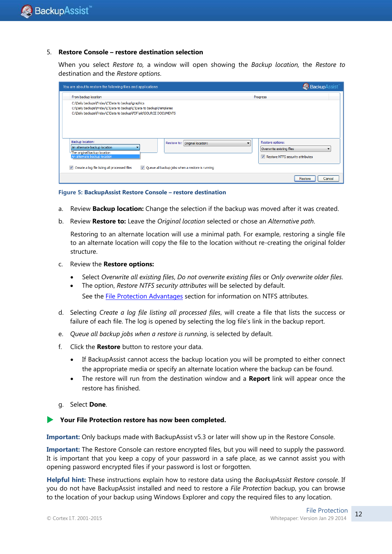#### 5. **Restore Console – restore destination selection**

When you select *Restore to,* a window will open showing the *Backup location,* the *Restore to* destination and the *Restore options*.

| You are about to restore the following files and applications                                                                                                                                  | BackupAssist                                                                          |
|------------------------------------------------------------------------------------------------------------------------------------------------------------------------------------------------|---------------------------------------------------------------------------------------|
| From backup location                                                                                                                                                                           | Progress                                                                              |
| C: \Daily backups\Friday\C\Data to backup\graphics<br>C:\Daily backups\Friday\C\Data to backup\C\Data to backup\Templates<br>C:\Daily backups\Friday\C\Data to backup\PDF\old\SOURCE DOCUMENTS |                                                                                       |
| Backup location:<br>Restore to: Original location:<br>An alternate backup location<br>The original backup location<br>An alternate backup location                                             | Restore options:<br>Overwrite existing files<br>۰<br>Restore NTFS security attributes |
| Create a log file listing all processed files<br>V Queue all backup jobs when a restore is running<br>$\overline{\mathbf{v}}$                                                                  |                                                                                       |
|                                                                                                                                                                                                | Restore<br>Cancel                                                                     |

**Figure 5: BackupAssist Restore Console – restore destination**

- a. Review **Backup location:** Change the selection if the backup was moved after it was created.
- b. Review **Restore to:** Leave the *Original location* selected or chose an *Alternative path*.

Restoring to an alternate location will use a minimal path. For example, restoring a single file to an alternate location will copy the file to the location without re-creating the original folder structure.

- c. Review the **Restore options:**
	- Select *Overwrite all existing files*, *Do not overwrite existing files* or *Only overwrite older files*.
	- The option, *Restore NTFS security attributes* will be selected by default. See the [File Protection Advantages](#page-3-0) section for information on NTFS attributes.
- d. Selecting *Create a log file listing all processed files*, will create a file that lists the success or failure of each file. The log is opened by selecting the log file's link in the backup report.
- e. *Queue all backup jobs when a restore is running*, is selected by default.
- f. Click the **Restore** button to restore your data.
	- If BackupAssist cannot access the backup location you will be prompted to either connect the appropriate media or specify an alternate location where the backup can be found.
	- The restore will run from the destination window and a **Report** link will appear once the restore has finished.
- g. Select **Done**.

#### **Your File Protection restore has now been completed.**

**Important:** Only backups made with BackupAssist v5.3 or later will show up in the Restore Console.

**Important:** The Restore Console can restore encrypted files, but you will need to supply the password. It is important that you keep a copy of your password in a safe place, as we cannot assist you with opening password encrypted files if your password is lost or forgotten.

**Helpful hint:** These instructions explain how to restore data using the *BackupAssist Restore console*. If you do not have BackupAssist installed and need to restore a *File Protection* backup, you can browse to the location of your backup using Windows Explorer and copy the required files to any location.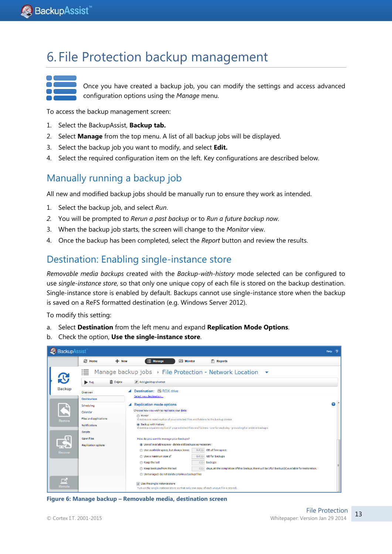# <span id="page-13-0"></span>6. File Protection backup management



Once you have created a backup job, you can modify the settings and access advanced configuration options using the *Manage* menu.

To access the backup management screen:

- 1. Select the BackupAssist, **Backup tab.**
- 2. Select **Manage** from the top menu. A list of all backup jobs will be displayed.
- 3. Select the backup job you want to modify, and select **Edit.**
- 4. Select the required configuration item on the left. Key configurations are described below.

## Manually running a backup job

All new and modified backup jobs should be manually run to ensure they work as intended.

- 1. Select the backup job, and select *Run*.
- *2.* You will be prompted to *Rerun a past backup* or to *Run a future backup now.*
- 3. When the backup job starts, the screen will change to the *Monitor* view.
- 4. Once the backup has been completed, select the *Report* button and review the results.

#### Destination: Enabling single-instance store

*Removable media backups* created with the *Backup-with-history* mode selected can be configured to use *single-instance store*, so that only one unique copy of each file is stored on the backup destination. Single-instance store is enabled by default. Backups cannot use single-instance store when the backup is saved on a ReFS formatted destination (e.g. Windows Server 2012).

To modify this setting:

- a. Select **Destination** from the left menu and expand **Replication Mode Options**.
- b. Check the option, **Use the single-instance store**.



**Figure 6: Manage backup – Removable media, destination screen**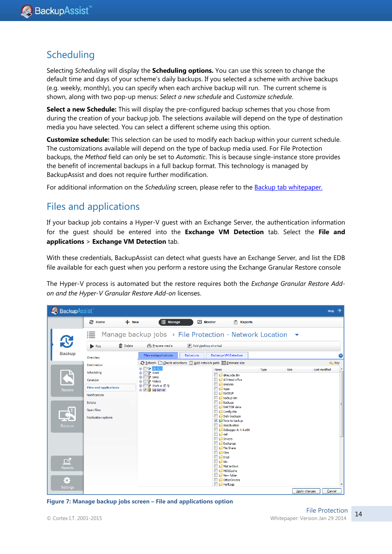## **Scheduling**

Selecting *Scheduling* will display the **Scheduling options.** You can use this screen to change the default time and days of your scheme's daily backups. If you selected a scheme with archive backups (e.g. weekly, monthly), you can specify when each archive backup will run. The current scheme is shown, along with two pop-up menus: *Select a new schedule* and *Customize schedule*.

**Select a new Schedule:** This will display the pre-configured backup schemes that you chose from during the creation of your backup job. The selections available will depend on the type of destination media you have selected. You can select a different scheme using this option.

**Customize schedule:** This selection can be used to modify each backup within your current schedule. The customizations available will depend on the type of backup media used. For File Protection backups, the *Method* field can only be set to *Automatic*. This is because single-instance store provides the benefit of incremental backups in a full backup format. This technology is managed by BackupAssist and does not require further modification.

For additional information on the *Scheduling* screen, please refer to the **Backup tab whitepaper.** 

## Files and applications

If your backup job contains a Hyper-V guest with an Exchange Server, the authentication information for the guest should be entered into the **Exchange VM Detection** tab. Select the **File and applications** > **Exchange VM Detection** tab.

With these credentials, BackupAssist can detect what guests have an Exchange Server, and list the EDB file available for each guest when you perform a restore using the Exchange Granular Restore console

The Hyper-V process is automated but the restore requires both the *Exchange Granular Restore Addon and the Hyper-V Granular Restore Add-on* licenses.

| BackupAssist                                |                                                                                                                                                |                                                                                                                                                                |                                                                                                                                                                                                                                                                                                                 |                                                                                                                                                        |               | Help <sub>2</sub>       |
|---------------------------------------------|------------------------------------------------------------------------------------------------------------------------------------------------|----------------------------------------------------------------------------------------------------------------------------------------------------------------|-----------------------------------------------------------------------------------------------------------------------------------------------------------------------------------------------------------------------------------------------------------------------------------------------------------------|--------------------------------------------------------------------------------------------------------------------------------------------------------|---------------|-------------------------|
|                                             | <b>&amp; Home</b><br>$+$ New                                                                                                                   | $\equiv$ Manage                                                                                                                                                | Monitor                                                                                                                                                                                                                                                                                                         | $\left  \vec{x} \right $<br><b>Reports</b>                                                                                                             |               |                         |
| $\mathbf{C}$                                | 這<br><b>命</b> Delete<br>$\blacktriangleright$ Run                                                                                              | Prepare media                                                                                                                                                  | Manage backup jobs > File Protection - Network Location $\rightarrow$<br>Add desktop shortart                                                                                                                                                                                                                   |                                                                                                                                                        |               |                         |
| <b>Backup</b>                               | Overview                                                                                                                                       | Files and applications                                                                                                                                         | <b>Exclusions</b><br>C Refresh □ Check selections □ Add network path   H Estimate size                                                                                                                                                                                                                          | <b>Exchange VM Detection</b>                                                                                                                           |               | 6<br>Q <sub>e</sub> Key |
| Restore<br>Recover<br>$\Box$<br>Remote<br>0 | <b>Destination</b><br>Scheduling<br>Calendar<br><b>Files and applications</b><br>Notifications<br>Scripts<br>Open files<br>Replication options | $\mathbf{H} \cdot \blacksquare$ OS (C:)<br><b>E-</b> Work<br><b>d</b> -□令 temp<br><b>E</b> htdocs<br><b>E-</b> Work or (E:\)<br><b>E</b> - <i>V</i> Sql Server | Name<br><b>D</b> analysis<br><b>B</b> <i>Apps</i><br><b>BACKUP</b><br>backup kiln<br><b>Backups</b><br>Config.Msi<br>$\Box$ $\Box$ dell<br><b>Drivers</b><br>Exchange<br>File Share<br>$\Box$ $\Box$ Files<br><b>D</b> <i>Intel</i><br>$\Box$ $\Box$ kiln<br>Mail archive<br>MSOCache<br>New folder<br>PerfLogs | Type<br>SRecycle.Bin<br>A5 Head office<br><b>BAK EGR</b> data<br>Daily backups<br>Data to backup<br>deactivation<br>Debugger.6.4.4.x86<br>OtherDrivers | <b>Size</b>   | Last modified           |
| <b>Settings</b>                             |                                                                                                                                                |                                                                                                                                                                |                                                                                                                                                                                                                                                                                                                 |                                                                                                                                                        | Apply changes | Cancel                  |

**Figure 7: Manage backup jobs screen – File and applications option**

14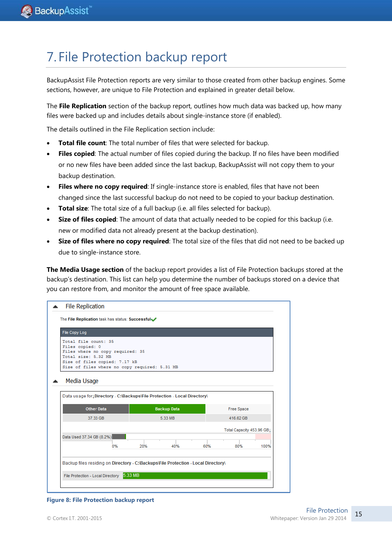# 7. File Protection backup report

BackupAssist File Protection reports are very similar to those created from other backup engines. Some sections, however, are unique to File Protection and explained in greater detail below.

The **File Replication** section of the backup report, outlines how much data was backed up, how many files were backed up and includes details about single-instance store (if enabled).

The details outlined in the File Replication section include:

- **Total file count**: The total number of files that were selected for backup.
- **Files copied**: The actual number of files copied during the backup. If no files have been modified or no new files have been added since the last backup, BackupAssist will not copy them to your backup destination.
- **Files where no copy required**: If single-instance store is enabled, files that have not been changed since the last successful backup do not need to be copied to your backup destination.
- **Total size**: The total size of a full backup (i.e. all files selected for backup).
- **Size of files copied**: The amount of data that actually needed to be copied for this backup (i.e. new or modified data not already present at the backup destination).
- **Size of files where no copy required**: The total size of the files that did not need to be backed up due to single-instance store.

**The Media Usage section** of the backup report provides a list of File Protection backups stored at the backup's destination. This list can help you determine the number of backups stored on a device that you can restore from, and monitor the amount of free space available.



#### **Figure 8: File Protection backup report**